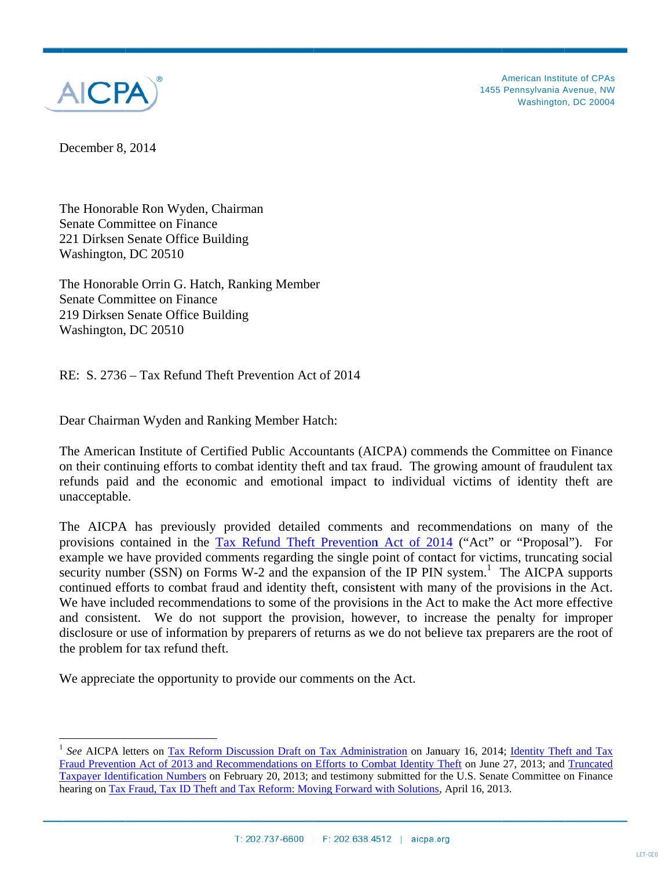

A American Instit ute of CPAs 1455 Pennsylvania Avenue, NW Washington, DC 20004

December 8, 2014

 $\overline{a}$ 

 

 

The Honorable Ron Wyden, Chairman Senate Committee on Finance 221 Dirksen Senate Office Building Washington, DC 20510

The Honorable Orrin G. Hatch, Ranking Member Senate Committee on Finance 219 Dirksen Senate Office Building Washington, DC 20510

RE: S. 2736 - Tax Refund Theft Prevention Act of 2014

Dear Chairman Wyden and Ranking Member Hatch:

The American Institute of Certified Public Accountants (AICPA) commends the Committee on Finance on their continuing efforts to combat identity theft and tax fraud. The growing amount of fraudulent tax refunds paid and the economic and emotional impact to individual victims of identity theft are unacceptable.

The AICPA has previously provided detailed comments and recommendations on many of the provisions contained in the Tax Refund Theft Prevention Act of 2014 ("Act" or "Proposal"). For example we have provided comments regarding the single point of contact for victims, truncating social security number (SSN) on Forms W-2 and the expansion of the IP PIN system.<sup>1</sup> The AICPA supports continued efforts to combat fraud and identity theft, consistent with many of the provisions in the Act. We have included recommendations to some of the provisions in the Act to make the Act more effective and consistent. We do not support the provision, however, to increase the penalty for improper disclosure or use of information by preparers of returns as we do not believe tax preparers are the root of the problem for tax refund theft.

We appreciate the opportunity to provide our comments on the Act.

 $\frac{1}{\sqrt{2\pi}}\left( \frac{1}{\sqrt{2\pi}}\right) ^{2}$ 

<sup>1</sup> Fraud Prevention Act of 2013 and Recommendations on Efforts to Combat Identity Theft on June 27, 2013; and Truncated Taxpayer Identification Numbers on February 20, 2013; and testimony submitted for the U.S. Senate Committee on Finance hearing on Tax Fraud, Tax ID Theft and Tax Reform: Moving Forward with Solutions, April 16, 2013. See AICPA letters on Tax Reform Discussion Draft on Tax Administration on January 16, 2014; Identity Theft and Tax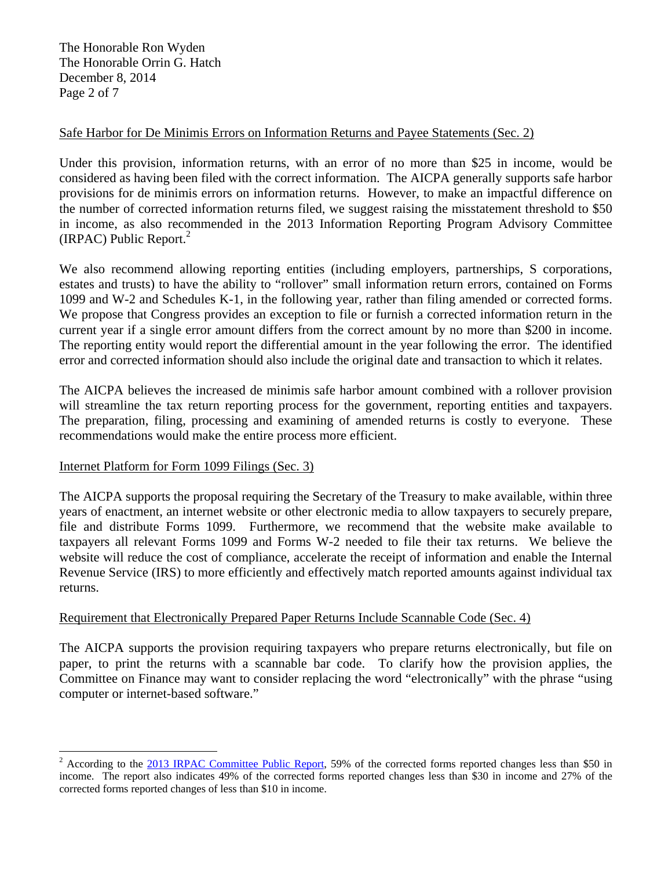The Honorable Ron Wyden The Honorable Orrin G. Hatch December 8, 2014 Page 2 of 7

# Safe Harbor for De Minimis Errors on Information Returns and Payee Statements (Sec. 2)

Under this provision, information returns, with an error of no more than \$25 in income, would be considered as having been filed with the correct information. The AICPA generally supports safe harbor provisions for de minimis errors on information returns. However, to make an impactful difference on the number of corrected information returns filed, we suggest raising the misstatement threshold to \$50 in income, as also recommended in the 2013 Information Reporting Program Advisory Committee (IRPAC) Public Report. $2$ 

We also recommend allowing reporting entities (including employers, partnerships, S corporations, estates and trusts) to have the ability to "rollover" small information return errors, contained on Forms 1099 and W-2 and Schedules K-1, in the following year, rather than filing amended or corrected forms. We propose that Congress provides an exception to file or furnish a corrected information return in the current year if a single error amount differs from the correct amount by no more than \$200 in income. The reporting entity would report the differential amount in the year following the error. The identified error and corrected information should also include the original date and transaction to which it relates.

The AICPA believes the increased de minimis safe harbor amount combined with a rollover provision will streamline the tax return reporting process for the government, reporting entities and taxpayers. The preparation, filing, processing and examining of amended returns is costly to everyone. These recommendations would make the entire process more efficient.

#### Internet Platform for Form 1099 Filings (Sec. 3)

 

The AICPA supports the proposal requiring the Secretary of the Treasury to make available, within three years of enactment, an internet website or other electronic media to allow taxpayers to securely prepare, file and distribute Forms 1099. Furthermore, we recommend that the website make available to taxpayers all relevant Forms 1099 and Forms W-2 needed to file their tax returns. We believe the website will reduce the cost of compliance, accelerate the receipt of information and enable the Internal Revenue Service (IRS) to more efficiently and effectively match reported amounts against individual tax returns.

#### Requirement that Electronically Prepared Paper Returns Include Scannable Code (Sec. 4)

The AICPA supports the provision requiring taxpayers who prepare returns electronically, but file on paper, to print the returns with a scannable bar code. To clarify how the provision applies, the Committee on Finance may want to consider replacing the word "electronically" with the phrase "using computer or internet-based software."

<sup>2</sup> According to the 2013 IRPAC Committee Public Report, 59% of the corrected forms reported changes less than \$50 in income. The report also indicates 49% of the corrected forms reported changes less than \$30 in income and 27% of the corrected forms reported changes of less than \$10 in income.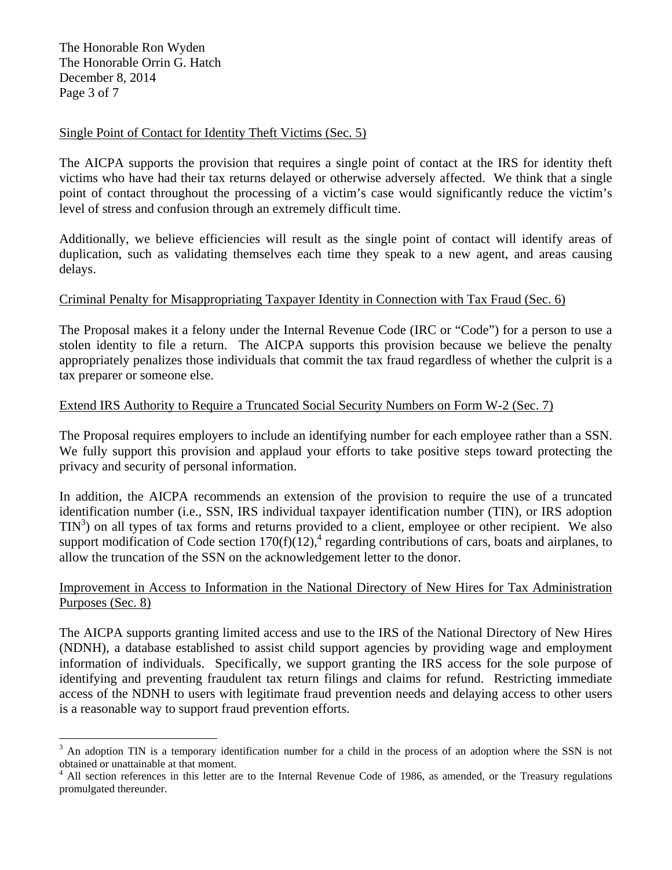The Honorable Ron Wyden The Honorable Orrin G. Hatch December 8, 2014 Page 3 of 7

 

### Single Point of Contact for Identity Theft Victims (Sec. 5)

The AICPA supports the provision that requires a single point of contact at the IRS for identity theft victims who have had their tax returns delayed or otherwise adversely affected. We think that a single point of contact throughout the processing of a victim's case would significantly reduce the victim's level of stress and confusion through an extremely difficult time.

Additionally, we believe efficiencies will result as the single point of contact will identify areas of duplication, such as validating themselves each time they speak to a new agent, and areas causing delays.

## Criminal Penalty for Misappropriating Taxpayer Identity in Connection with Tax Fraud (Sec. 6)

The Proposal makes it a felony under the Internal Revenue Code (IRC or "Code") for a person to use a stolen identity to file a return. The AICPA supports this provision because we believe the penalty appropriately penalizes those individuals that commit the tax fraud regardless of whether the culprit is a tax preparer or someone else.

#### Extend IRS Authority to Require a Truncated Social Security Numbers on Form W-2 (Sec. 7)

The Proposal requires employers to include an identifying number for each employee rather than a SSN. We fully support this provision and applaud your efforts to take positive steps toward protecting the privacy and security of personal information.

In addition, the AICPA recommends an extension of the provision to require the use of a truncated identification number (i.e., SSN, IRS individual taxpayer identification number (TIN), or IRS adoption  $TIN<sup>3</sup>$ ) on all types of tax forms and returns provided to a client, employee or other recipient. We also support modification of Code section  $170(f)(12)$ , regarding contributions of cars, boats and airplanes, to allow the truncation of the SSN on the acknowledgement letter to the donor.

## Improvement in Access to Information in the National Directory of New Hires for Tax Administration Purposes (Sec. 8)

The AICPA supports granting limited access and use to the IRS of the National Directory of New Hires (NDNH), a database established to assist child support agencies by providing wage and employment information of individuals. Specifically, we support granting the IRS access for the sole purpose of identifying and preventing fraudulent tax return filings and claims for refund. Restricting immediate access of the NDNH to users with legitimate fraud prevention needs and delaying access to other users is a reasonable way to support fraud prevention efforts.

 $3$  An adoption TIN is a temporary identification number for a child in the process of an adoption where the SSN is not obtained or unattainable at that moment.

<sup>4</sup> All section references in this letter are to the Internal Revenue Code of 1986, as amended, or the Treasury regulations promulgated thereunder.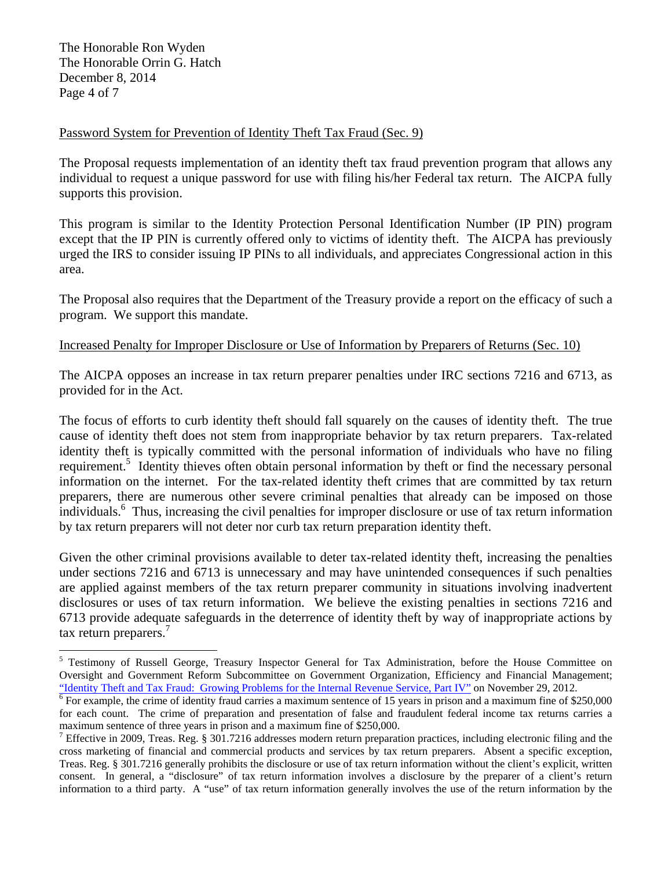The Honorable Ron Wyden The Honorable Orrin G. Hatch December 8, 2014 Page 4 of 7

 

## Password System for Prevention of Identity Theft Tax Fraud (Sec. 9)

The Proposal requests implementation of an identity theft tax fraud prevention program that allows any individual to request a unique password for use with filing his/her Federal tax return. The AICPA fully supports this provision.

This program is similar to the Identity Protection Personal Identification Number (IP PIN) program except that the IP PIN is currently offered only to victims of identity theft. The AICPA has previously urged the IRS to consider issuing IP PINs to all individuals, and appreciates Congressional action in this area.

The Proposal also requires that the Department of the Treasury provide a report on the efficacy of such a program. We support this mandate.

## Increased Penalty for Improper Disclosure or Use of Information by Preparers of Returns (Sec. 10)

The AICPA opposes an increase in tax return preparer penalties under IRC sections 7216 and 6713, as provided for in the Act.

The focus of efforts to curb identity theft should fall squarely on the causes of identity theft. The true cause of identity theft does not stem from inappropriate behavior by tax return preparers. Tax-related identity theft is typically committed with the personal information of individuals who have no filing requirement.<sup>5</sup> Identity thieves often obtain personal information by theft or find the necessary personal information on the internet. For the tax-related identity theft crimes that are committed by tax return preparers, there are numerous other severe criminal penalties that already can be imposed on those individuals.<sup>6</sup> Thus, increasing the civil penalties for improper disclosure or use of tax return information by tax return preparers will not deter nor curb tax return preparation identity theft.

Given the other criminal provisions available to deter tax-related identity theft, increasing the penalties under sections 7216 and 6713 is unnecessary and may have unintended consequences if such penalties are applied against members of the tax return preparer community in situations involving inadvertent disclosures or uses of tax return information. We believe the existing penalties in sections 7216 and 6713 provide adequate safeguards in the deterrence of identity theft by way of inappropriate actions by tax return preparers.<sup>7</sup>

<sup>&</sup>lt;sup>5</sup> Testimony of Russell George, Treasury Inspector General for Tax Administration, before the House Committee on Oversight and Government Reform Subcommittee on Government Organization, Efficiency and Financial Management; "Identity Theft and Tax Fraud: Growing Problems for the Internal Revenue Service, Part IV" on November 29, 2012. 6

 $\frac{1}{6}$  For example, the crime of identity fraud carries a maximum sentence of 15 years in prison and a maximum fine of \$250,000 for each count. The crime of preparation and presentation of false and fraudulent federal income tax returns carries a maximum sentence of three years in prison and a maximum fine of \$250,000.

<sup>&</sup>lt;sup>7</sup> Effective in 2009, Treas. Reg. § 301.7216 addresses modern return preparation practices, including electronic filing and the cross marketing of financial and commercial products and services by tax return preparers. Absent a specific exception, Treas. Reg. § 301.7216 generally prohibits the disclosure or use of tax return information without the client's explicit, written consent. In general, a "disclosure" of tax return information involves a disclosure by the preparer of a client's return information to a third party. A "use" of tax return information generally involves the use of the return information by the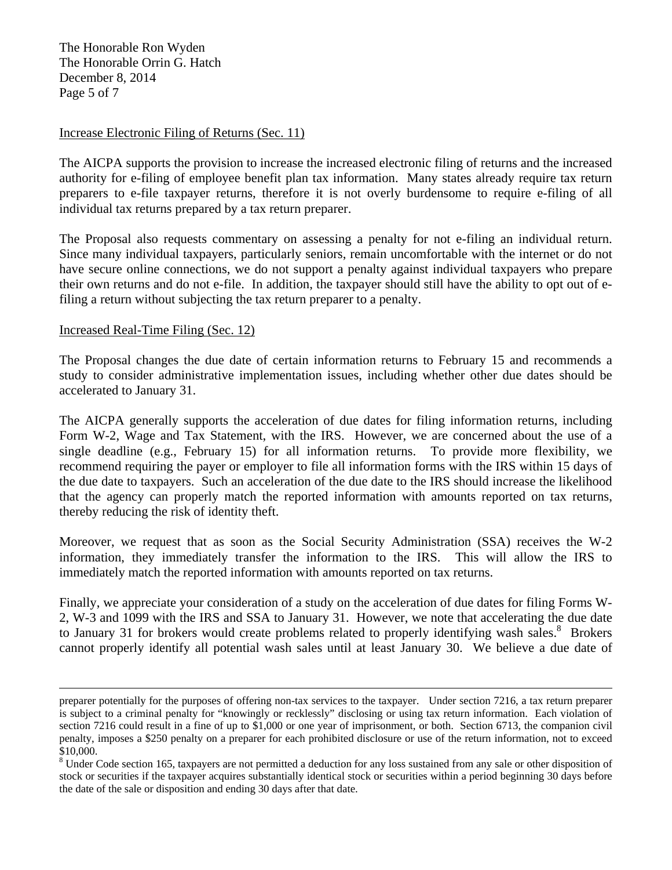The Honorable Ron Wyden The Honorable Orrin G. Hatch December 8, 2014 Page 5 of 7

#### Increase Electronic Filing of Returns (Sec. 11)

The AICPA supports the provision to increase the increased electronic filing of returns and the increased authority for e-filing of employee benefit plan tax information. Many states already require tax return preparers to e-file taxpayer returns, therefore it is not overly burdensome to require e-filing of all individual tax returns prepared by a tax return preparer.

The Proposal also requests commentary on assessing a penalty for not e-filing an individual return. Since many individual taxpayers, particularly seniors, remain uncomfortable with the internet or do not have secure online connections, we do not support a penalty against individual taxpayers who prepare their own returns and do not e-file. In addition, the taxpayer should still have the ability to opt out of efiling a return without subjecting the tax return preparer to a penalty.

#### Increased Real-Time Filing (Sec. 12)

The Proposal changes the due date of certain information returns to February 15 and recommends a study to consider administrative implementation issues, including whether other due dates should be accelerated to January 31.

The AICPA generally supports the acceleration of due dates for filing information returns, including Form W-2, Wage and Tax Statement, with the IRS. However, we are concerned about the use of a single deadline (e.g., February 15) for all information returns. To provide more flexibility, we recommend requiring the payer or employer to file all information forms with the IRS within 15 days of the due date to taxpayers. Such an acceleration of the due date to the IRS should increase the likelihood that the agency can properly match the reported information with amounts reported on tax returns, thereby reducing the risk of identity theft.

Moreover, we request that as soon as the Social Security Administration (SSA) receives the W-2 information, they immediately transfer the information to the IRS. This will allow the IRS to immediately match the reported information with amounts reported on tax returns.

Finally, we appreciate your consideration of a study on the acceleration of due dates for filing Forms W-2, W-3 and 1099 with the IRS and SSA to January 31. However, we note that accelerating the due date to January 31 for brokers would create problems related to properly identifying wash sales.<sup>8</sup> Brokers cannot properly identify all potential wash sales until at least January 30. We believe a due date of

<u> 1989 - Andrea San Andrew Maria (h. 1989).</u><br>1900 - Carl Britain, politik eta margolaria (h. 1980).

preparer potentially for the purposes of offering non-tax services to the taxpayer. Under section 7216, a tax return preparer is subject to a criminal penalty for "knowingly or recklessly" disclosing or using tax return information. Each violation of section 7216 could result in a fine of up to \$1,000 or one year of imprisonment, or both. Section 6713, the companion civil penalty, imposes a \$250 penalty on a preparer for each prohibited disclosure or use of the return information, not to exceed \$10,000.

<sup>&</sup>lt;sup>8</sup> Under Code section 165, taxpayers are not permitted a deduction for any loss sustained from any sale or other disposition of stock or securities if the taxpayer acquires substantially identical stock or securities within a period beginning 30 days before the date of the sale or disposition and ending 30 days after that date.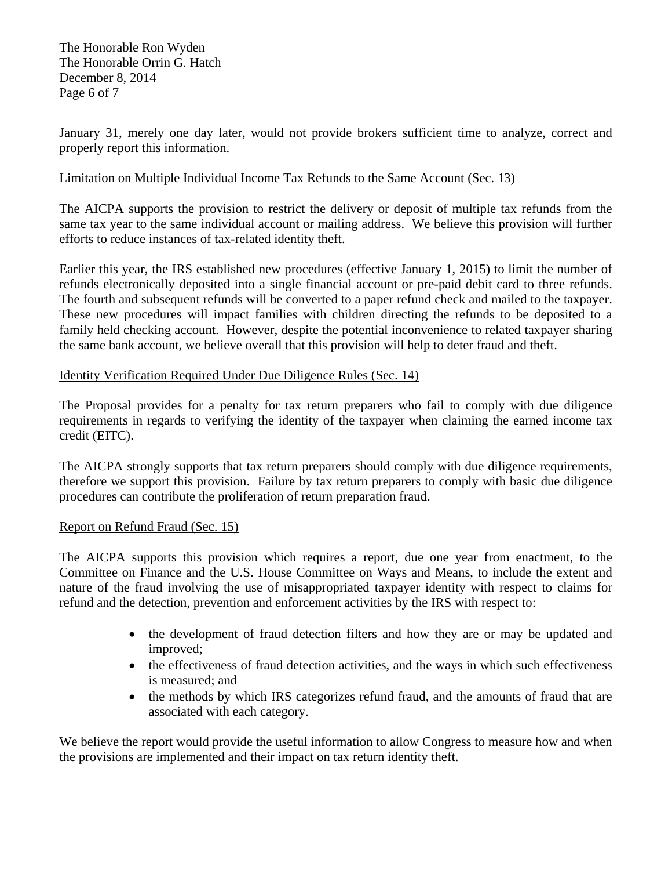The Honorable Ron Wyden The Honorable Orrin G. Hatch December 8, 2014 Page 6 of 7

January 31, merely one day later, would not provide brokers sufficient time to analyze, correct and properly report this information.

## Limitation on Multiple Individual Income Tax Refunds to the Same Account (Sec. 13)

The AICPA supports the provision to restrict the delivery or deposit of multiple tax refunds from the same tax year to the same individual account or mailing address. We believe this provision will further efforts to reduce instances of tax-related identity theft.

Earlier this year, the IRS established new procedures (effective January 1, 2015) to limit the number of refunds electronically deposited into a single financial account or pre-paid debit card to three refunds. The fourth and subsequent refunds will be converted to a paper refund check and mailed to the taxpayer. These new procedures will impact families with children directing the refunds to be deposited to a family held checking account. However, despite the potential inconvenience to related taxpayer sharing the same bank account, we believe overall that this provision will help to deter fraud and theft.

#### Identity Verification Required Under Due Diligence Rules (Sec. 14)

The Proposal provides for a penalty for tax return preparers who fail to comply with due diligence requirements in regards to verifying the identity of the taxpayer when claiming the earned income tax credit (EITC).

The AICPA strongly supports that tax return preparers should comply with due diligence requirements, therefore we support this provision. Failure by tax return preparers to comply with basic due diligence procedures can contribute the proliferation of return preparation fraud.

#### Report on Refund Fraud (Sec. 15)

The AICPA supports this provision which requires a report, due one year from enactment, to the Committee on Finance and the U.S. House Committee on Ways and Means, to include the extent and nature of the fraud involving the use of misappropriated taxpayer identity with respect to claims for refund and the detection, prevention and enforcement activities by the IRS with respect to:

- the development of fraud detection filters and how they are or may be updated and improved;
- the effectiveness of fraud detection activities, and the ways in which such effectiveness is measured; and
- the methods by which IRS categorizes refund fraud, and the amounts of fraud that are associated with each category.

We believe the report would provide the useful information to allow Congress to measure how and when the provisions are implemented and their impact on tax return identity theft.